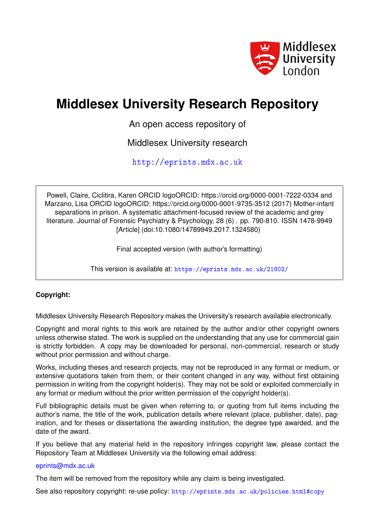

# **Middlesex University Research Repository**

An open access repository of

Middlesex University research

<http://eprints.mdx.ac.uk>

Powell, Claire, Ciclitira, Karen ORCID logoORCID: https://orcid.org/0000-0001-7222-0334 and Marzano, Lisa ORCID logoORCID: https://orcid.org/0000-0001-9735-3512 (2017) Mother-infant separations in prison. A systematic attachment-focused review of the academic and grey literature. Journal of Forensic Psychiatry & Psychology, 28 (6) . pp. 790-810. ISSN 1478-9949 [Article] (doi:10.1080/14789949.2017.1324580)

Final accepted version (with author's formatting)

This version is available at: <https://eprints.mdx.ac.uk/21802/>

## **Copyright:**

Middlesex University Research Repository makes the University's research available electronically.

Copyright and moral rights to this work are retained by the author and/or other copyright owners unless otherwise stated. The work is supplied on the understanding that any use for commercial gain is strictly forbidden. A copy may be downloaded for personal, non-commercial, research or study without prior permission and without charge.

Works, including theses and research projects, may not be reproduced in any format or medium, or extensive quotations taken from them, or their content changed in any way, without first obtaining permission in writing from the copyright holder(s). They may not be sold or exploited commercially in any format or medium without the prior written permission of the copyright holder(s).

Full bibliographic details must be given when referring to, or quoting from full items including the author's name, the title of the work, publication details where relevant (place, publisher, date), pagination, and for theses or dissertations the awarding institution, the degree type awarded, and the date of the award.

If you believe that any material held in the repository infringes copyright law, please contact the Repository Team at Middlesex University via the following email address:

## [eprints@mdx.ac.uk](mailto:eprints@mdx.ac.uk)

The item will be removed from the repository while any claim is being investigated.

See also repository copyright: re-use policy: <http://eprints.mdx.ac.uk/policies.html#copy>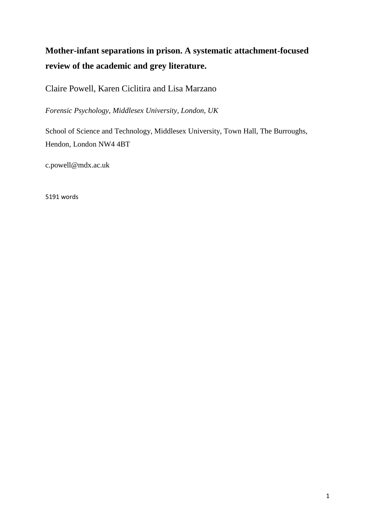## **Mother-infant separations in prison. A systematic attachment-focused review of the academic and grey literature.**

Claire Powell, Karen Ciclitira and Lisa Marzano

*Forensic Psychology, Middlesex University, London, UK*

School of Science and Technology, Middlesex University, Town Hall, The Burroughs, Hendon, London NW4 4BT

c.powell@mdx.ac.uk

5191 words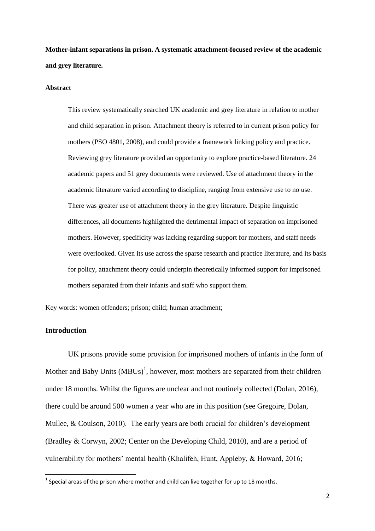**Mother-infant separations in prison. A systematic attachment-focused review of the academic and grey literature.**

#### **Abstract**

This review systematically searched UK academic and grey literature in relation to mother and child separation in prison. Attachment theory is referred to in current prison policy for mothers (PSO 4801, 2008), and could provide a framework linking policy and practice. Reviewing grey literature provided an opportunity to explore practice-based literature. 24 academic papers and 51 grey documents were reviewed. Use of attachment theory in the academic literature varied according to discipline, ranging from extensive use to no use. There was greater use of attachment theory in the grey literature. Despite linguistic differences, all documents highlighted the detrimental impact of separation on imprisoned mothers. However, specificity was lacking regarding support for mothers, and staff needs were overlooked. Given its use across the sparse research and practice literature, and its basis for policy, attachment theory could underpin theoretically informed support for imprisoned mothers separated from their infants and staff who support them.

Key words: women offenders; prison; child; human attachment;

## **Introduction**

**.** 

UK prisons provide some provision for imprisoned mothers of infants in the form of Mother and Baby Units  $(MBUS)^1$ , however, most mothers are separated from their children under 18 months. Whilst the figures are unclear and not routinely collected (Dolan, 2016), there could be around 500 women a year who are in this position (see Gregoire, Dolan, Mullee, & Coulson, 2010). The early years are both crucial for children's development (Bradley & Corwyn, 2002; Center on the Developing Child, 2010), and are a period of vulnerability for mothers' mental health (Khalifeh, Hunt, Appleby, & Howard, 2016;

 $^{1}$  Special areas of the prison where mother and child can live together for up to 18 months.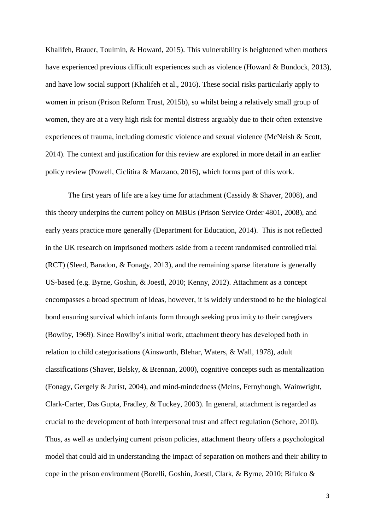Khalifeh, Brauer, Toulmin, & Howard, 2015). This vulnerability is heightened when mothers have experienced previous difficult experiences such as violence (Howard & Bundock, 2013), and have low social support (Khalifeh et al., 2016). These social risks particularly apply to women in prison (Prison Reform Trust, 2015b), so whilst being a relatively small group of women, they are at a very high risk for mental distress arguably due to their often extensive experiences of trauma, including domestic violence and sexual violence (McNeish & Scott, 2014). The context and justification for this review are explored in more detail in an earlier policy review (Powell, Ciclitira & Marzano, 2016), which forms part of this work.

The first years of life are a key time for attachment (Cassidy & Shaver, 2008), and this theory underpins the current policy on MBUs (Prison Service Order 4801, 2008), and early years practice more generally (Department for Education, 2014). This is not reflected in the UK research on imprisoned mothers aside from a recent randomised controlled trial (RCT) (Sleed, Baradon, & Fonagy, 2013), and the remaining sparse literature is generally US-based (e.g. Byrne, Goshin, & Joestl, 2010; Kenny, 2012). Attachment as a concept encompasses a broad spectrum of ideas, however, it is widely understood to be the biological bond ensuring survival which infants form through seeking proximity to their caregivers (Bowlby, 1969). Since Bowlby's initial work, attachment theory has developed both in relation to child categorisations (Ainsworth, Blehar, Waters, & Wall, 1978), adult classifications (Shaver, Belsky, & Brennan, 2000), cognitive concepts such as mentalization (Fonagy, Gergely & Jurist, 2004), and mind-mindedness (Meins, Fernyhough, Wainwright, Clark-Carter, Das Gupta, Fradley, & Tuckey, 2003). In general, attachment is regarded as crucial to the development of both interpersonal trust and affect regulation (Schore, 2010). Thus, as well as underlying current prison policies, attachment theory offers a psychological model that could aid in understanding the impact of separation on mothers and their ability to cope in the prison environment (Borelli, Goshin, Joestl, Clark, & Byrne, 2010; Bifulco &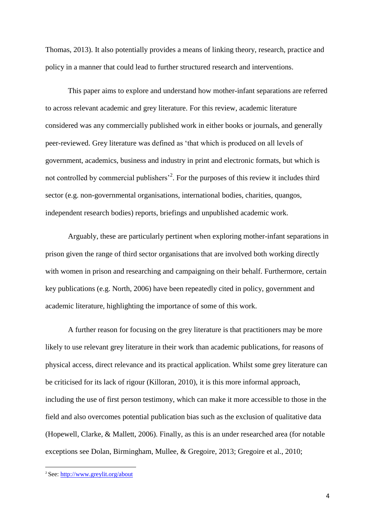Thomas, 2013). It also potentially provides a means of linking theory, research, practice and policy in a manner that could lead to further structured research and interventions.

This paper aims to explore and understand how mother-infant separations are referred to across relevant academic and grey literature. For this review, academic literature considered was any commercially published work in either books or journals, and generally peer-reviewed. Grey literature was defined as 'that which is produced on all levels of government, academics, business and industry in print and electronic formats, but which is not controlled by commercial publishers<sup> $2$ </sup>. For the purposes of this review it includes third sector (e.g. non-governmental organisations, international bodies, charities, quangos, independent research bodies) reports, briefings and unpublished academic work.

Arguably, these are particularly pertinent when exploring mother-infant separations in prison given the range of third sector organisations that are involved both working directly with women in prison and researching and campaigning on their behalf. Furthermore, certain key publications (e.g. North, 2006) have been repeatedly cited in policy, government and academic literature, highlighting the importance of some of this work.

A further reason for focusing on the grey literature is that practitioners may be more likely to use relevant grey literature in their work than academic publications, for reasons of physical access, direct relevance and its practical application. Whilst some grey literature can be criticised for its lack of rigour (Killoran, 2010), it is this more informal approach, including the use of first person testimony, which can make it more accessible to those in the field and also overcomes potential publication bias such as the exclusion of qualitative data (Hopewell, Clarke, & Mallett, 2006). Finally, as this is an under researched area (for notable exceptions see Dolan, Birmingham, Mullee, & Gregoire, 2013; Gregoire et al., 2010;

**.** 

<sup>2</sup> See:<http://www.greylit.org/about>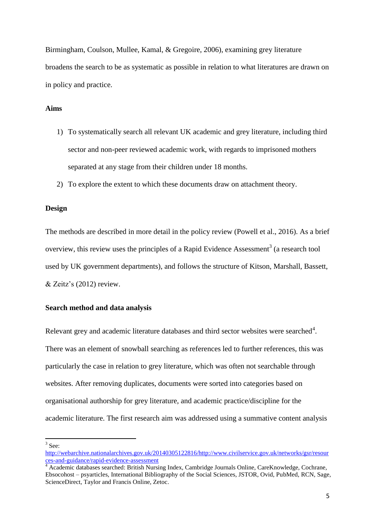Birmingham, Coulson, Mullee, Kamal, & Gregoire, 2006), examining grey literature broadens the search to be as systematic as possible in relation to what literatures are drawn on in policy and practice.

## **Aims**

- 1) To systematically search all relevant UK academic and grey literature, including third sector and non-peer reviewed academic work, with regards to imprisoned mothers separated at any stage from their children under 18 months.
- 2) To explore the extent to which these documents draw on attachment theory.

#### **Design**

The methods are described in more detail in the policy review (Powell et al., 2016). As a brief overview, this review uses the principles of a Rapid Evidence Assessment<sup>3</sup> (a research tool used by UK government departments), and follows the structure of Kitson, Marshall, Bassett, & Zeitz's (2012) review.

#### **Search method and data analysis**

Relevant grey and academic literature databases and third sector websites were searched<sup>4</sup>. There was an element of snowball searching as references led to further references, this was particularly the case in relation to grey literature, which was often not searchable through websites. After removing duplicates, documents were sorted into categories based on organisational authorship for grey literature, and academic practice/discipline for the academic literature. The first research aim was addressed using a summative content analysis

 $3$  See:

[http://webarchive.nationalarchives.gov.uk/20140305122816/http://www.civilservice.gov.uk/networks/gsr/resour](http://webarchive.nationalarchives.gov.uk/20140305122816/http:/www.civilservice.gov.uk/networks/gsr/resources-and-guidance/rapid-evidence-assessment) [ces-and-guidance/rapid-evidence-assessment](http://webarchive.nationalarchives.gov.uk/20140305122816/http:/www.civilservice.gov.uk/networks/gsr/resources-and-guidance/rapid-evidence-assessment)

<sup>4</sup> Academic databases searched: British Nursing Index, Cambridge Journals Online, CareKnowledge, Cochrane, Ebsocohost – psyarticles, International Bibliography of the Social Sciences, JSTOR, Ovid, PubMed, RCN, Sage, ScienceDirect, Taylor and Francis Online, Zetoc.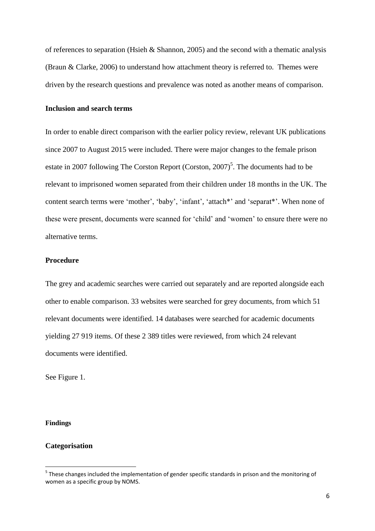of references to separation (Hsieh & Shannon, 2005) and the second with a thematic analysis (Braun & Clarke, 2006) to understand how attachment theory is referred to. Themes were driven by the research questions and prevalence was noted as another means of comparison.

## **Inclusion and search terms**

In order to enable direct comparison with the earlier policy review, relevant UK publications since 2007 to August 2015 were included. There were major changes to the female prison estate in 2007 following The Corston Report (Corston,  $2007$ <sup>5</sup>. The documents had to be relevant to imprisoned women separated from their children under 18 months in the UK. The content search terms were 'mother', 'baby', 'infant', 'attach\*' and 'separat\*'. When none of these were present, documents were scanned for 'child' and 'women' to ensure there were no alternative terms.

## **Procedure**

The grey and academic searches were carried out separately and are reported alongside each other to enable comparison. 33 websites were searched for grey documents, from which 51 relevant documents were identified. 14 databases were searched for academic documents yielding 27 919 items. Of these 2 389 titles were reviewed, from which 24 relevant documents were identified.

See Figure 1.

#### **Findings**

**.** 

#### **Categorisation**

<sup>&</sup>lt;sup>5</sup> These changes included the implementation of gender specific standards in prison and the monitoring of women as a specific group by NOMS.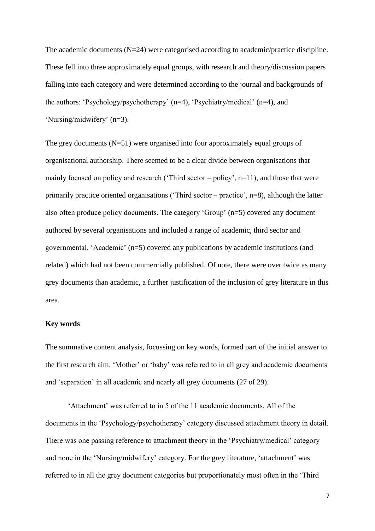The academic documents (N=24) were categorised according to academic/practice discipline. These fell into three approximately equal groups, with research and theory/discussion papers falling into each category and were determined according to the journal and backgrounds of the authors: 'Psychology/psychotherapy' (n=4), 'Psychiatry/medical' (n=4), and 'Nursing/midwifery' (n=3).

The grey documents (N=51) were organised into four approximately equal groups of organisational authorship. There seemed to be a clear divide between organisations that mainly focused on policy and research ('Third sector – policy',  $n=11$ ), and those that were primarily practice oriented organisations ('Third sector – practice', n=8), although the latter also often produce policy documents. The category 'Group' (n=5) covered any document authored by several organisations and included a range of academic, third sector and governmental. 'Academic' (n=5) covered any publications by academic institutions (and related) which had not been commercially published. Of note, there were over twice as many grey documents than academic, a further justification of the inclusion of grey literature in this area.

#### **Key words**

The summative content analysis, focussing on key words, formed part of the initial answer to the first research aim. 'Mother' or 'baby' was referred to in all grey and academic documents and 'separation' in all academic and nearly all grey documents (27 of 29).

'Attachment' was referred to in 5 of the 11 academic documents. All of the documents in the 'Psychology/psychotherapy' category discussed attachment theory in detail. There was one passing reference to attachment theory in the 'Psychiatry/medical' category and none in the 'Nursing/midwifery' category. For the grey literature, 'attachment' was referred to in all the grey document categories but proportionately most often in the 'Third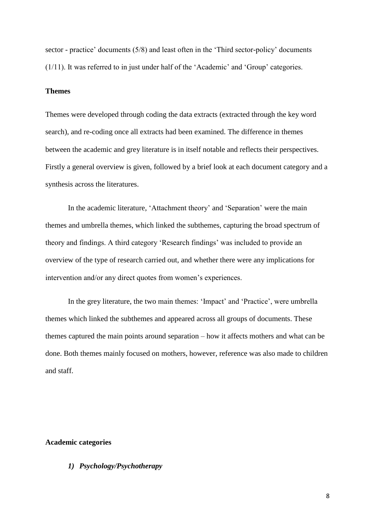sector - practice' documents (5/8) and least often in the 'Third sector-policy' documents (1/11). It was referred to in just under half of the 'Academic' and 'Group' categories.

## **Themes**

Themes were developed through coding the data extracts (extracted through the key word search), and re-coding once all extracts had been examined. The difference in themes between the academic and grey literature is in itself notable and reflects their perspectives. Firstly a general overview is given, followed by a brief look at each document category and a synthesis across the literatures.

In the academic literature, 'Attachment theory' and 'Separation' were the main themes and umbrella themes, which linked the subthemes, capturing the broad spectrum of theory and findings. A third category 'Research findings' was included to provide an overview of the type of research carried out, and whether there were any implications for intervention and/or any direct quotes from women's experiences.

In the grey literature, the two main themes: 'Impact' and 'Practice', were umbrella themes which linked the subthemes and appeared across all groups of documents. These themes captured the main points around separation – how it affects mothers and what can be done. Both themes mainly focused on mothers, however, reference was also made to children and staff.

#### **Academic categories**

## *1) Psychology/Psychotherapy*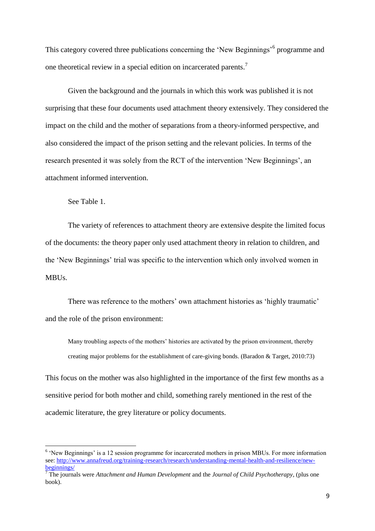This category covered three publications concerning the 'New Beginnings'<sup>6</sup> programme and one theoretical review in a special edition on incarcerated parents.<sup>7</sup>

Given the background and the journals in which this work was published it is not surprising that these four documents used attachment theory extensively. They considered the impact on the child and the mother of separations from a theory-informed perspective, and also considered the impact of the prison setting and the relevant policies. In terms of the research presented it was solely from the RCT of the intervention 'New Beginnings', an attachment informed intervention.

See Table 1.

The variety of references to attachment theory are extensive despite the limited focus of the documents: the theory paper only used attachment theory in relation to children, and the 'New Beginnings' trial was specific to the intervention which only involved women in MBUs.

There was reference to the mothers' own attachment histories as 'highly traumatic' and the role of the prison environment:

Many troubling aspects of the mothers' histories are activated by the prison environment, thereby creating major problems for the establishment of care-giving bonds. (Baradon & Target, 2010:73)

This focus on the mother was also highlighted in the importance of the first few months as a sensitive period for both mother and child, something rarely mentioned in the rest of the academic literature, the grey literature or policy documents.

<sup>&</sup>lt;sup>6</sup> 'New Beginnings' is a 12 session programme for incarcerated mothers in prison MBUs. For more information see: [http://www.annafreud.org/training-research/research/understanding-mental-health-and-resilience/new](http://www.annafreud.org/training-research/research/understanding-mental-health-and-resilience/new-beginnings/)[beginnings/](http://www.annafreud.org/training-research/research/understanding-mental-health-and-resilience/new-beginnings/)

<sup>7</sup> The journals were *Attachment and Human Development* and the *Journal of Child Psychotherapy*, (plus one book).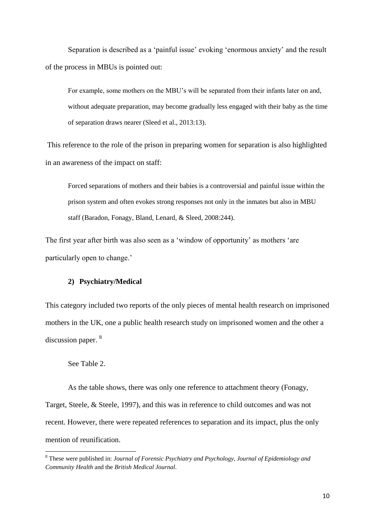Separation is described as a 'painful issue' evoking 'enormous anxiety' and the result of the process in MBUs is pointed out:

For example, some mothers on the MBU's will be separated from their infants later on and, without adequate preparation, may become gradually less engaged with their baby as the time of separation draws nearer (Sleed et al., 2013:13).

This reference to the role of the prison in preparing women for separation is also highlighted in an awareness of the impact on staff:

Forced separations of mothers and their babies is a controversial and painful issue within the prison system and often evokes strong responses not only in the inmates but also in MBU staff (Baradon, Fonagy, Bland, Lenard, & Sleed, 2008:244).

The first year after birth was also seen as a 'window of opportunity' as mothers 'are particularly open to change.'

#### **2) Psychiatry/Medical**

This category included two reports of the only pieces of mental health research on imprisoned mothers in the UK, one a public health research study on imprisoned women and the other a discussion paper. <sup>8</sup>

### See Table 2.

1

As the table shows, there was only one reference to attachment theory (Fonagy, Target, Steele, & Steele, 1997), and this was in reference to child outcomes and was not recent. However, there were repeated references to separation and its impact, plus the only mention of reunification.

<sup>8</sup> These were published in: *Journal of Forensic Psychiatry and Psychology, Journal of Epidemiology and Community Health* and the *British Medical Journal*.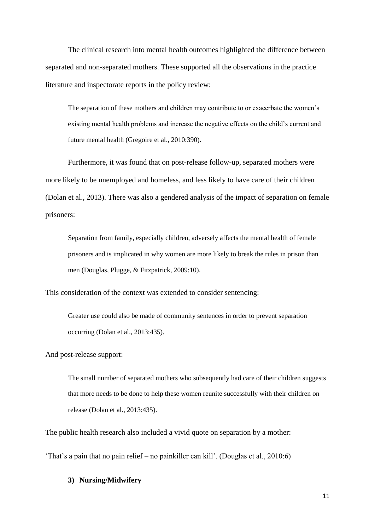The clinical research into mental health outcomes highlighted the difference between separated and non-separated mothers. These supported all the observations in the practice literature and inspectorate reports in the policy review:

The separation of these mothers and children may contribute to or exacerbate the women's existing mental health problems and increase the negative effects on the child's current and future mental health (Gregoire et al., 2010:390).

Furthermore, it was found that on post-release follow-up, separated mothers were more likely to be unemployed and homeless, and less likely to have care of their children (Dolan et al., 2013). There was also a gendered analysis of the impact of separation on female prisoners:

Separation from family, especially children, adversely affects the mental health of female prisoners and is implicated in why women are more likely to break the rules in prison than men (Douglas, Plugge, & Fitzpatrick, 2009:10).

This consideration of the context was extended to consider sentencing:

Greater use could also be made of community sentences in order to prevent separation occurring (Dolan et al., 2013:435).

And post-release support:

The small number of separated mothers who subsequently had care of their children suggests that more needs to be done to help these women reunite successfully with their children on release (Dolan et al., 2013:435).

The public health research also included a vivid quote on separation by a mother:

'That's a pain that no pain relief – no painkiller can kill'. (Douglas et al., 2010:6)

## **3) Nursing/Midwifery**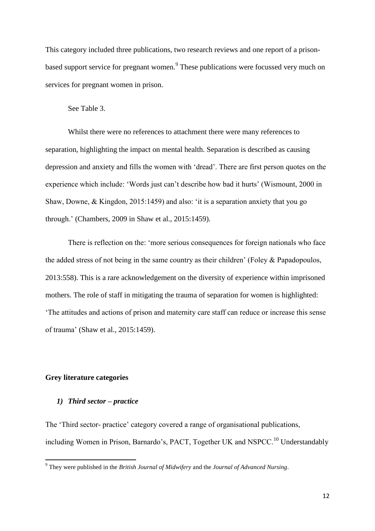This category included three publications, two research reviews and one report of a prisonbased support service for pregnant women.<sup>9</sup> These publications were focussed very much on services for pregnant women in prison.

#### See Table 3.

Whilst there were no references to attachment there were many references to separation, highlighting the impact on mental health. Separation is described as causing depression and anxiety and fills the women with 'dread'. There are first person quotes on the experience which include: 'Words just can't describe how bad it hurts' (Wismount, 2000 in Shaw, Downe, & Kingdon, 2015:1459) and also: 'it is a separation anxiety that you go through.' (Chambers, 2009 in Shaw et al., 2015:1459).

There is reflection on the: 'more serious consequences for foreign nationals who face the added stress of not being in the same country as their children' (Foley & Papadopoulos, 2013:558). This is a rare acknowledgement on the diversity of experience within imprisoned mothers. The role of staff in mitigating the trauma of separation for women is highlighted: 'The attitudes and actions of prison and maternity care staff can reduce or increase this sense of trauma' (Shaw et al., 2015:1459).

## **Grey literature categories**

**.** 

#### *1) Third sector – practice*

The 'Third sector- practice' category covered a range of organisational publications, including Women in Prison, Barnardo's, PACT, Together UK and NSPCC.<sup>10</sup> Understandably

<sup>9</sup> They were published in the *British Journal of Midwifery* and the *Journal of Advanced Nursing*.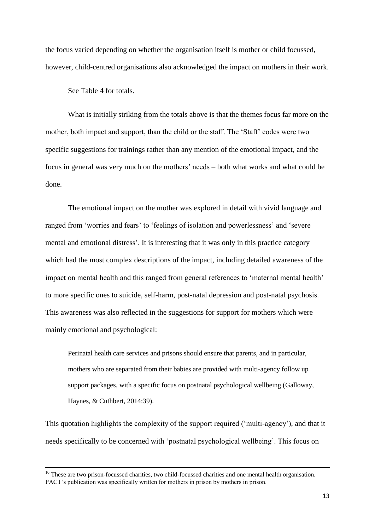the focus varied depending on whether the organisation itself is mother or child focussed, however, child-centred organisations also acknowledged the impact on mothers in their work.

See Table 4 for totals.

**.** 

What is initially striking from the totals above is that the themes focus far more on the mother, both impact and support, than the child or the staff. The 'Staff' codes were two specific suggestions for trainings rather than any mention of the emotional impact, and the focus in general was very much on the mothers' needs – both what works and what could be done.

The emotional impact on the mother was explored in detail with vivid language and ranged from 'worries and fears' to 'feelings of isolation and powerlessness' and 'severe mental and emotional distress'. It is interesting that it was only in this practice category which had the most complex descriptions of the impact, including detailed awareness of the impact on mental health and this ranged from general references to 'maternal mental health' to more specific ones to suicide, self-harm, post-natal depression and post-natal psychosis. This awareness was also reflected in the suggestions for support for mothers which were mainly emotional and psychological:

Perinatal health care services and prisons should ensure that parents, and in particular, mothers who are separated from their babies are provided with multi-agency follow up support packages, with a specific focus on postnatal psychological wellbeing (Galloway, Haynes, & Cuthbert, 2014:39).

This quotation highlights the complexity of the support required ('multi-agency'), and that it needs specifically to be concerned with 'postnatal psychological wellbeing'. This focus on

 $10$  These are two prison-focussed charities, two child-focussed charities and one mental health organisation. PACT's publication was specifically written for mothers in prison by mothers in prison.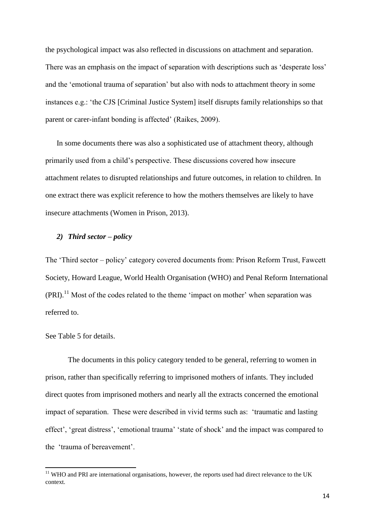the psychological impact was also reflected in discussions on attachment and separation. There was an emphasis on the impact of separation with descriptions such as 'desperate loss' and the 'emotional trauma of separation' but also with nods to attachment theory in some instances e.g.: 'the CJS [Criminal Justice System] itself disrupts family relationships so that parent or carer-infant bonding is affected' (Raikes, 2009).

In some documents there was also a sophisticated use of attachment theory, although primarily used from a child's perspective. These discussions covered how insecure attachment relates to disrupted relationships and future outcomes, in relation to children. In one extract there was explicit reference to how the mothers themselves are likely to have insecure attachments (Women in Prison, 2013).

#### *2) Third sector – policy*

The 'Third sector – policy' category covered documents from: Prison Reform Trust, Fawcett Society, Howard League, World Health Organisation (WHO) and Penal Reform International  $(PRI).<sup>11</sup>$  Most of the codes related to the theme 'impact on mother' when separation was referred to.

## See Table 5 for details.

**.** 

The documents in this policy category tended to be general, referring to women in prison, rather than specifically referring to imprisoned mothers of infants. They included direct quotes from imprisoned mothers and nearly all the extracts concerned the emotional impact of separation. These were described in vivid terms such as: 'traumatic and lasting effect', 'great distress', 'emotional trauma' 'state of shock' and the impact was compared to the 'trauma of bereavement'.

 $11$  WHO and PRI are international organisations, however, the reports used had direct relevance to the UK context.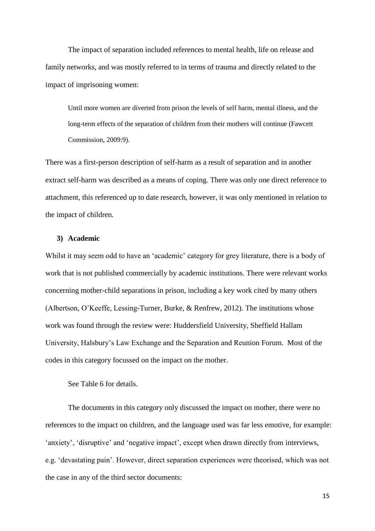The impact of separation included references to mental health, life on release and family networks, and was mostly referred to in terms of trauma and directly related to the impact of imprisoning women:

Until more women are diverted from prison the levels of self harm, mental illness, and the long-term effects of the separation of children from their mothers will continue (Fawcett Commission, 2009:9).

There was a first-person description of self-harm as a result of separation and in another extract self-harm was described as a means of coping. There was only one direct reference to attachment, this referenced up to date research, however, it was only mentioned in relation to the impact of children.

#### **3) Academic**

Whilst it may seem odd to have an 'academic' category for grey literature, there is a body of work that is not published commercially by academic institutions. There were relevant works concerning mother-child separations in prison, including a key work cited by many others (Albertson, O'Keeffe, Lessing-Turner, Burke, & Renfrew, 2012). The institutions whose work was found through the review were: Huddersfield University, Sheffield Hallam University, Halsbury's Law Exchange and the Separation and Reunion Forum. Most of the codes in this category focussed on the impact on the mother.

See Table 6 for details.

The documents in this category only discussed the impact on mother, there were no references to the impact on children, and the language used was far less emotive, for example: 'anxiety', 'disruptive' and 'negative impact', except when drawn directly from interviews, e.g. 'devastating pain'. However, direct separation experiences were theorised, which was not the case in any of the third sector documents:

15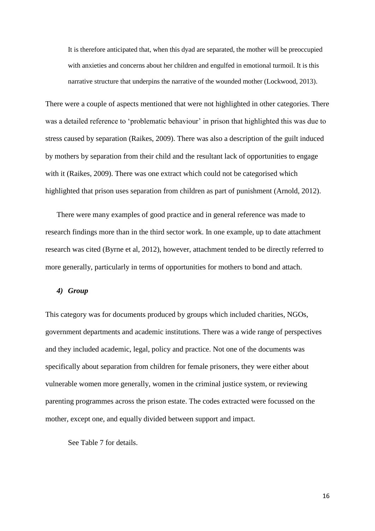It is therefore anticipated that, when this dyad are separated, the mother will be preoccupied with anxieties and concerns about her children and engulfed in emotional turmoil. It is this narrative structure that underpins the narrative of the wounded mother (Lockwood, 2013).

There were a couple of aspects mentioned that were not highlighted in other categories. There was a detailed reference to 'problematic behaviour' in prison that highlighted this was due to stress caused by separation (Raikes, 2009). There was also a description of the guilt induced by mothers by separation from their child and the resultant lack of opportunities to engage with it (Raikes, 2009). There was one extract which could not be categorised which highlighted that prison uses separation from children as part of punishment (Arnold, 2012).

There were many examples of good practice and in general reference was made to research findings more than in the third sector work. In one example, up to date attachment research was cited (Byrne et al, 2012), however, attachment tended to be directly referred to more generally, particularly in terms of opportunities for mothers to bond and attach.

#### *4) Group*

This category was for documents produced by groups which included charities, NGOs, government departments and academic institutions. There was a wide range of perspectives and they included academic, legal, policy and practice. Not one of the documents was specifically about separation from children for female prisoners, they were either about vulnerable women more generally, women in the criminal justice system, or reviewing parenting programmes across the prison estate. The codes extracted were focussed on the mother, except one, and equally divided between support and impact.

See Table 7 for details.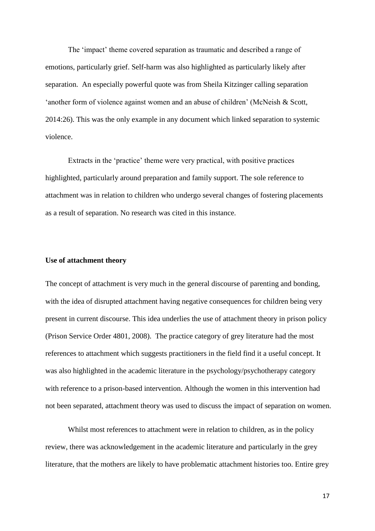The 'impact' theme covered separation as traumatic and described a range of emotions, particularly grief. Self-harm was also highlighted as particularly likely after separation. An especially powerful quote was from Sheila Kitzinger calling separation 'another form of violence against women and an abuse of children' (McNeish & Scott, 2014:26). This was the only example in any document which linked separation to systemic violence.

Extracts in the 'practice' theme were very practical, with positive practices highlighted, particularly around preparation and family support. The sole reference to attachment was in relation to children who undergo several changes of fostering placements as a result of separation. No research was cited in this instance.

#### **Use of attachment theory**

The concept of attachment is very much in the general discourse of parenting and bonding, with the idea of disrupted attachment having negative consequences for children being very present in current discourse. This idea underlies the use of attachment theory in prison policy (Prison Service Order 4801, 2008). The practice category of grey literature had the most references to attachment which suggests practitioners in the field find it a useful concept. It was also highlighted in the academic literature in the psychology/psychotherapy category with reference to a prison-based intervention. Although the women in this intervention had not been separated, attachment theory was used to discuss the impact of separation on women.

Whilst most references to attachment were in relation to children, as in the policy review, there was acknowledgement in the academic literature and particularly in the grey literature, that the mothers are likely to have problematic attachment histories too. Entire grey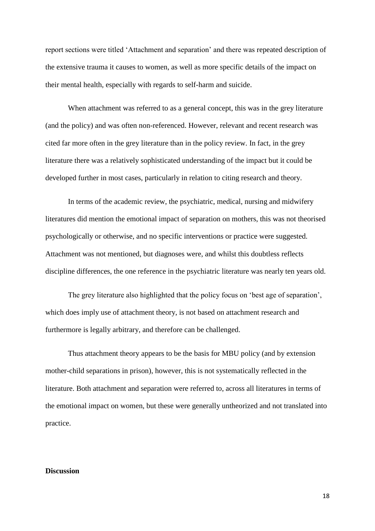report sections were titled 'Attachment and separation' and there was repeated description of the extensive trauma it causes to women, as well as more specific details of the impact on their mental health, especially with regards to self-harm and suicide.

When attachment was referred to as a general concept, this was in the grey literature (and the policy) and was often non-referenced. However, relevant and recent research was cited far more often in the grey literature than in the policy review. In fact, in the grey literature there was a relatively sophisticated understanding of the impact but it could be developed further in most cases, particularly in relation to citing research and theory.

In terms of the academic review, the psychiatric, medical, nursing and midwifery literatures did mention the emotional impact of separation on mothers, this was not theorised psychologically or otherwise, and no specific interventions or practice were suggested. Attachment was not mentioned, but diagnoses were, and whilst this doubtless reflects discipline differences, the one reference in the psychiatric literature was nearly ten years old.

The grey literature also highlighted that the policy focus on 'best age of separation', which does imply use of attachment theory, is not based on attachment research and furthermore is legally arbitrary, and therefore can be challenged.

Thus attachment theory appears to be the basis for MBU policy (and by extension mother-child separations in prison), however, this is not systematically reflected in the literature. Both attachment and separation were referred to, across all literatures in terms of the emotional impact on women, but these were generally untheorized and not translated into practice.

## **Discussion**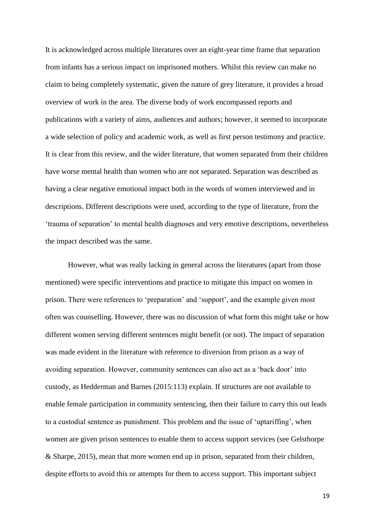It is acknowledged across multiple literatures over an eight-year time frame that separation from infants has a serious impact on imprisoned mothers. Whilst this review can make no claim to being completely systematic, given the nature of grey literature, it provides a broad overview of work in the area. The diverse body of work encompassed reports and publications with a variety of aims, audiences and authors; however, it seemed to incorporate a wide selection of policy and academic work, as well as first person testimony and practice. It is clear from this review, and the wider literature, that women separated from their children have worse mental health than women who are not separated. Separation was described as having a clear negative emotional impact both in the words of women interviewed and in descriptions. Different descriptions were used, according to the type of literature, from the 'trauma of separation' to mental health diagnoses and very emotive descriptions, nevertheless the impact described was the same.

However, what was really lacking in general across the literatures (apart from those mentioned) were specific interventions and practice to mitigate this impact on women in prison. There were references to 'preparation' and 'support', and the example given most often was counselling. However, there was no discussion of what form this might take or how different women serving different sentences might benefit (or not). The impact of separation was made evident in the literature with reference to diversion from prison as a way of avoiding separation. However, community sentences can also act as a 'back door' into custody, as Hedderman and Barnes (2015:113) explain. If structures are not available to enable female participation in community sentencing, then their failure to carry this out leads to a custodial sentence as punishment. This problem and the issue of 'uptariffing', when women are given prison sentences to enable them to access support services (see Gelsthorpe & Sharpe, 2015), mean that more women end up in prison, separated from their children, despite efforts to avoid this or attempts for them to access support. This important subject

19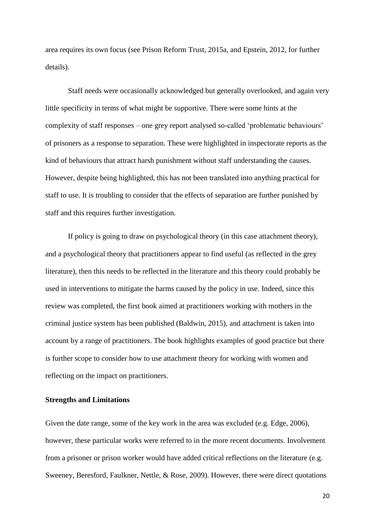area requires its own focus (see Prison Reform Trust, 2015a, and Epstein, 2012, for further details).

Staff needs were occasionally acknowledged but generally overlooked, and again very little specificity in terms of what might be supportive. There were some hints at the complexity of staff responses – one grey report analysed so-called 'problematic behaviours' of prisoners as a response to separation. These were highlighted in inspectorate reports as the kind of behaviours that attract harsh punishment without staff understanding the causes. However, despite being highlighted, this has not been translated into anything practical for staff to use. It is troubling to consider that the effects of separation are further punished by staff and this requires further investigation.

If policy is going to draw on psychological theory (in this case attachment theory), and a psychological theory that practitioners appear to find useful (as reflected in the grey literature), then this needs to be reflected in the literature and this theory could probably be used in interventions to mitigate the harms caused by the policy in use. Indeed, since this review was completed, the first book aimed at practitioners working with mothers in the criminal justice system has been published (Baldwin, 2015), and attachment is taken into account by a range of practitioners. The book highlights examples of good practice but there is further scope to consider how to use attachment theory for working with women and reflecting on the impact on practitioners.

#### **Strengths and Limitations**

Given the date range, some of the key work in the area was excluded (e.g. Edge, 2006), however, these particular works were referred to in the more recent documents. Involvement from a prisoner or prison worker would have added critical reflections on the literature (e.g. Sweeney, Beresford, Faulkner, Nettle, & Rose, 2009). However, there were direct quotations

20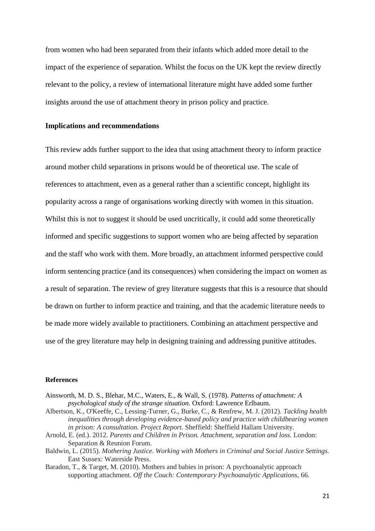from women who had been separated from their infants which added more detail to the impact of the experience of separation. Whilst the focus on the UK kept the review directly relevant to the policy, a review of international literature might have added some further insights around the use of attachment theory in prison policy and practice.

#### **Implications and recommendations**

This review adds further support to the idea that using attachment theory to inform practice around mother child separations in prisons would be of theoretical use. The scale of references to attachment, even as a general rather than a scientific concept, highlight its popularity across a range of organisations working directly with women in this situation. Whilst this is not to suggest it should be used uncritically, it could add some theoretically informed and specific suggestions to support women who are being affected by separation and the staff who work with them. More broadly, an attachment informed perspective could inform sentencing practice (and its consequences) when considering the impact on women as a result of separation. The review of grey literature suggests that this is a resource that should be drawn on further to inform practice and training, and that the academic literature needs to be made more widely available to practitioners. Combining an attachment perspective and use of the grey literature may help in designing training and addressing punitive attitudes.

#### **References**

- Ainsworth, M. D. S., Blehar, M.C., Waters, E., & Wall, S. (1978). *Patterns of attachment: A psychological study of the strange situation.* Oxford: Lawrence Erlbaum.
- Albertson, K., O'Keeffe, C., Lessing-Turner, G., Burke, C., & Renfrew, M. J. (2012). *Tackling health inequalities through developing evidence-based policy and practice with childbearing women in prison: A consultation. Project Report.* Sheffield: Sheffield Hallam University.
- Arnold, E. (ed.). 2012. *Parents and Children in Prison. Attachment, separation and loss.* London: Separation & Reunion Forum.
- Baldwin, L. (2015). *Mothering Justice. Working with Mothers in Criminal and Social Justice Settings.*  East Sussex: Waterside Press.
- Baradon, T., & Target, M. (2010). Mothers and babies in prison: A psychoanalytic approach supporting attachment. *Off the Couch: Contemporary Psychoanalytic Applications*, 66.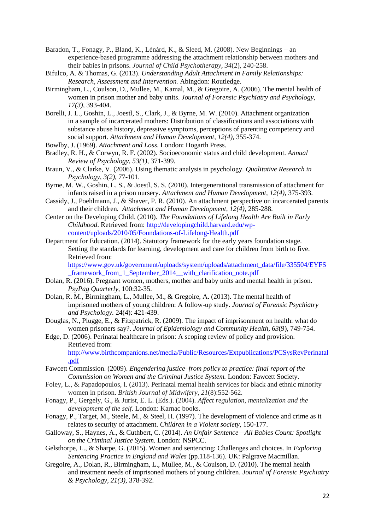- Baradon, T., Fonagy, P., Bland, K., Lénárd, K., & Sleed, M. (2008). New Beginnings an experience-based programme addressing the attachment relationship between mothers and their babies in prisons. *Journal of Child Psychotherapy*, *34*(2), 240-258.
- Bifulco, A. & Thomas, G. (2013). *Understanding Adult Attachment in Family Relationships: Research, Assessment and Intervention.* Abingdon: Routledge.
- Birmingham, L., Coulson, D., Mullee, M., Kamal, M., & Gregoire, A. (2006). The mental health of women in prison mother and baby units. *Journal of Forensic Psychiatry and Psychology, 17(3),* 393-404.
- Borelli, J. L., Goshin, L., Joestl, S., Clark, J., & Byrne, M. W. (2010). Attachment organization in a sample of incarcerated mothers: Distribution of classifications and associations with substance abuse history, depressive symptoms, perceptions of parenting competency and social support. *Attachment and Human Development, 12(4),* 355-374.
- Bowlby, J. (1969). *Attachment and Loss*. London: Hogarth Press.
- Bradley, R. H., & Corwyn, R. F. (2002). Socioeconomic status and child development. *Annual Review of Psychology, 53(1),* 371-399.
- Braun, V., & Clarke, V. (2006). Using thematic analysis in psychology. *Qualitative Research in Psychology*, *3(2),* 77-101.
- Byrne, M. W., Goshin, L. S., & Joestl, S. S. (2010). Intergenerational transmission of attachment for infants raised in a prison nursery. *Attachment and Human Development, 12(4),* 375-393.
- Cassidy, J., Poehlmann, J., & Shaver, P. R. (2010). An attachment perspective on incarcerated parents and their children. *Attachment and Human Development, 12(4),* 285-288.
- Center on the Developing Child. (2010). *The Foundations of Lifelong Health Are Built in Early Childhood*. Retrieved from: [http://developingchild.harvard.edu/wp](http://developingchild.harvard.edu/wp-content/uploads/2010/05/Foundations-of-Lifelong-Health.pdf)[content/uploads/2010/05/Foundations-of-Lifelong-Health.pdf](http://developingchild.harvard.edu/wp-content/uploads/2010/05/Foundations-of-Lifelong-Health.pdf)
- Department for Education. (2014). Statutory framework for the early years foundation stage. Setting the standards for learning, development and care for children from birth to five. Retrieved from:

[https://www.gov.uk/government/uploads/system/uploads/attachment\\_data/file/335504/EYFS](https://www.gov.uk/government/uploads/system/uploads/attachment_data/file/335504/EYFS_framework_from_1_September_2014__with_clarification_note.pdf) framework from 1 September 2014 with clarification note.pdf

- Dolan, R. (2016). Pregnant women, mothers, mother and baby units and mental health in prison. *PsyPag Quarterly,* 100:32-35.
- Dolan, R. M., Birmingham, L., Mullee, M., & Gregoire, A. (2013). The mental health of imprisoned mothers of young children: A follow-up study. *Journal of Forensic Psychiatry and Psychology.* 24(4): 421-439.
- Douglas, N., Plugge, E., & Fitzpatrick, R. (2009). The impact of imprisonment on health: what do women prisoners say?. *Journal of Epidemiology and Community Health*, *63*(9), 749-754.
- Edge, D. (2006). Perinatal healthcare in prison: A scoping review of policy and provision. Retrieved from: [http://www.birthcompanions.net/media/Public/Resources/Extpublications/PCSysRevPerinatal](http://www.birthcompanions.net/media/Public/Resources/Extpublications/PCSysRevPerinatal.pdf) [.pdf](http://www.birthcompanions.net/media/Public/Resources/Extpublications/PCSysRevPerinatal.pdf)
- Fawcett Commission. (2009). *Engendering justice–from policy to practice: final report of the Commission on Women and the Criminal Justice System.* London: Fawcett Society.
- Foley, L., & Papadopoulos, I. (2013). Perinatal mental health services for black and ethnic minority women in prison. *British Journal of Midwifery*, *21*(8):552-562.
- Fonagy, P., Gergely, G., & Jurist, E. L. (Eds.). (2004). *Affect regulation, mentalization and the development of the self*. London: Karnac books.
- Fonagy, P., Target, M., Steele, M., & Steel, H. (1997). The development of violence and crime as it relates to security of attachment. *Children in a Violent society,* 150-177.
- Galloway, S., Haynes, A., & Cuthbert, C. (2014). *An Unfair Sentence—All Babies Count: Spotlight on the Criminal Justice System.* London: NSPCC.
- Gelsthorpe, L., & Sharpe, G. (2015). Women and sentencing: Challenges and choices. In *Exploring Sentencing Practice in England and Wales* (pp.118-136). UK: Palgrave Macmillan.
- Gregoire, A., Dolan, R., Birmingham, L., Mullee, M., & Coulson, D. (2010). The mental health and treatment needs of imprisoned mothers of young children. *Journal of Forensic Psychiatry & Psychology, 21(3),* 378-392.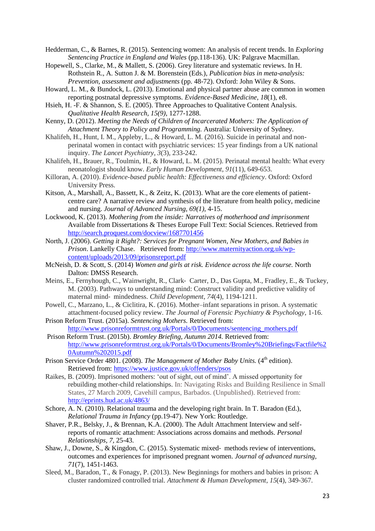Hedderman, C., & Barnes, R. (2015). Sentencing women: An analysis of recent trends. In *Exploring Sentencing Practice in England and Wales* (pp.118-136). UK: Palgrave Macmillan.

Hopewell, S., Clarke, M., & Mallett, S. (2006). Grey literature and systematic reviews. In H. Rothstein R., A. Sutton J. & M. Borenstein (Eds.), *Publication bias in meta-analysis: Prevention, assessment and adjustments* (pp. 48-72). Oxford: John Wiley & Sons.

- Howard, L. M., & Bundock, L. (2013). Emotional and physical partner abuse are common in women reporting postnatal depressive symptoms. *Evidence-Based Medicine, 18*(1), e8.
- Hsieh, H. -F. & Shannon, S. E. (2005). Three Approaches to Qualitative Content Analysis. *Qualitative Health Research, 15(9)*, 1277-1288.

Kenny, D. (2012). *Meeting the Needs of Children of Incarcerated Mothers: The Application of Attachment Theory to Policy and Programming.* Australia: University of Sydney.

- Khalifeh, H., Hunt, I. M., Appleby, L., & Howard, L. M. (2016). Suicide in perinatal and nonperinatal women in contact with psychiatric services: 15 year findings from a UK national inquiry. *The Lancet Psychiatry*, *3*(3), 233-242.
- Khalifeh, H., Brauer, R., Toulmin, H., & Howard, L. M. (2015). Perinatal mental health: What every neonatologist should know. *Early Human Development*, *91*(11), 649-653.
- Killoran, A. (2010). *Evidence-based public health: Effectiveness and efficiency*. Oxford: Oxford University Press.
- Kitson, A., Marshall, A., Bassett, K., & Zeitz, K. (2013). What are the core elements of patientcentre care? A narrative review and synthesis of the literature from health policy, medicine and nursing. *Journal of Advanced Nursing, 69(1),* 4-15.
- Lockwood, K. (2013). *Mothering from the inside: Narratives of motherhood and imprisonment*  Available from Dissertations & Theses Europe Full Text: Social Sciences. Retrieved from <http://search.proquest.com/docview/1687701456>
- North, J. (2006). *Getting it Right?: Services for Pregnant Women, New Mothers, and Babies in Prison*. Lankelly Chase. Retrieved from: [http://www.maternityaction.org.uk/wp](http://www.maternityaction.org.uk/wp-content/uploads/2013/09/prisonsreport.pdf)[content/uploads/2013/09/prisonsreport.pdf](http://www.maternityaction.org.uk/wp-content/uploads/2013/09/prisonsreport.pdf)
- McNeish, D. & Scott, S. (2014) *Women and girls at risk. Evidence across the life course.* North Dalton: DMSS Research.
- Meins, E., Fernyhough, C., Wainwright, R., Clark‐ Carter, D., Das Gupta, M., Fradley, E., & Tuckey, M. (2003). Pathways to understanding mind: Construct validity and predictive validity of maternal mind‐ mindedness. *Child Development*, *74*(4), 1194-1211.
- Powell, C., Marzano, L., & Ciclitira, K. (2016). Mother–infant separations in prison. A systematic attachment-focused policy review. *The Journal of Forensic Psychiatry & Psychology*, 1-16.
- Prison Reform Trust. (2015a). *Sentencing Mothers.* Retrieved from: [http://www.prisonreformtrust.org.uk/Portals/0/Documents/sentencing\\_mothers.pdf](http://www.prisonreformtrust.org.uk/Portals/0/Documents/sentencing_mothers.pdf)
- Prison Reform Trust. (2015b). *Bromley Briefing, Autumn 2014.* Retrieved from: [http://www.prisonreformtrust.org.uk/Portals/0/Documents/Bromley%20Briefings/Factfile%2](http://www.prisonreformtrust.org.uk/Portals/0/Documents/Bromley%20Briefings/Factfile%20Autumn%202015.pdf) [0Autumn%202015.pdf](http://www.prisonreformtrust.org.uk/Portals/0/Documents/Bromley%20Briefings/Factfile%20Autumn%202015.pdf)
- Prison Service Order 4801. (2008). *The Management of Mother Baby Units.* (4<sup>th</sup> edition). Retrieved from:<https://www.justice.gov.uk/offenders/psos>
- Raikes, B. (2009). Imprisoned mothers: 'out of sight, out of mind'. A missed opportunity for rebuilding mother-child relationships. In: Navigating Risks and Building Resilience in Small States, 27 March 2009, Cavehill campus, Barbados. (Unpublished). Retrieved from: <http://eprints.hud.ac.uk/4863/>
- Schore, A. N. (2010). Relational trauma and the developing right brain. In T. Baradon (Ed.), *Relational Trauma in Infancy* (pp.19-47). New York: Routledge.
- Shaver, P.R., Belsky, J., & Brennan, K.A. (2000). The Adult Attachment Interview and selfreports of romantic attachment: Associations across domains and methods. *Personal Relationships, 7,* 25-43.
- Shaw, J., Downe, S., & Kingdon, C. (2015). Systematic mixed‐ methods review of interventions, outcomes and experiences for imprisoned pregnant women. *Journal of advanced nursing*, *71*(7), 1451-1463.
- Sleed, M., Baradon, T., & Fonagy, P. (2013). New Beginnings for mothers and babies in prison: A cluster randomized controlled trial. *Attachment & Human Development*, *15*(4), 349-367.